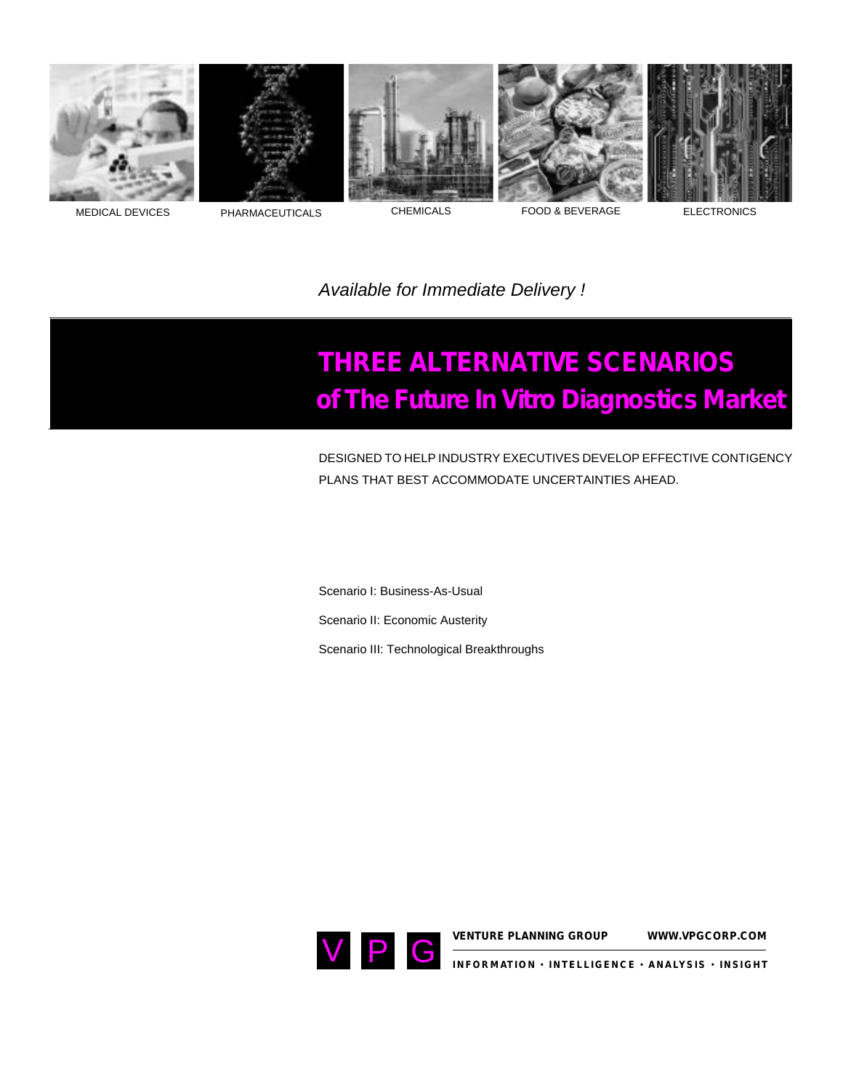









MEDICAL DEVICES PHARMACEUTICALS CHEMICALS CHEMICALS FOOD & BEVERAGE ELECTRONICS

*Available for Immediate Delivery !* 

## **THREE ALTERNATIVE SCENARIOS of The Future In Vitro Diagnostics Market**

DESIGNED TO HELP INDUSTRY EXECUTIVES DEVELOP EFFECTIVE CONTIGENCY PLANS THAT BEST ACCOMMODATE UNCERTAINTIES AHEAD.

Scenario I: Business-As-Usual 

Scenario II: Economic Austerity

Scenario III: Technological Breakthroughs

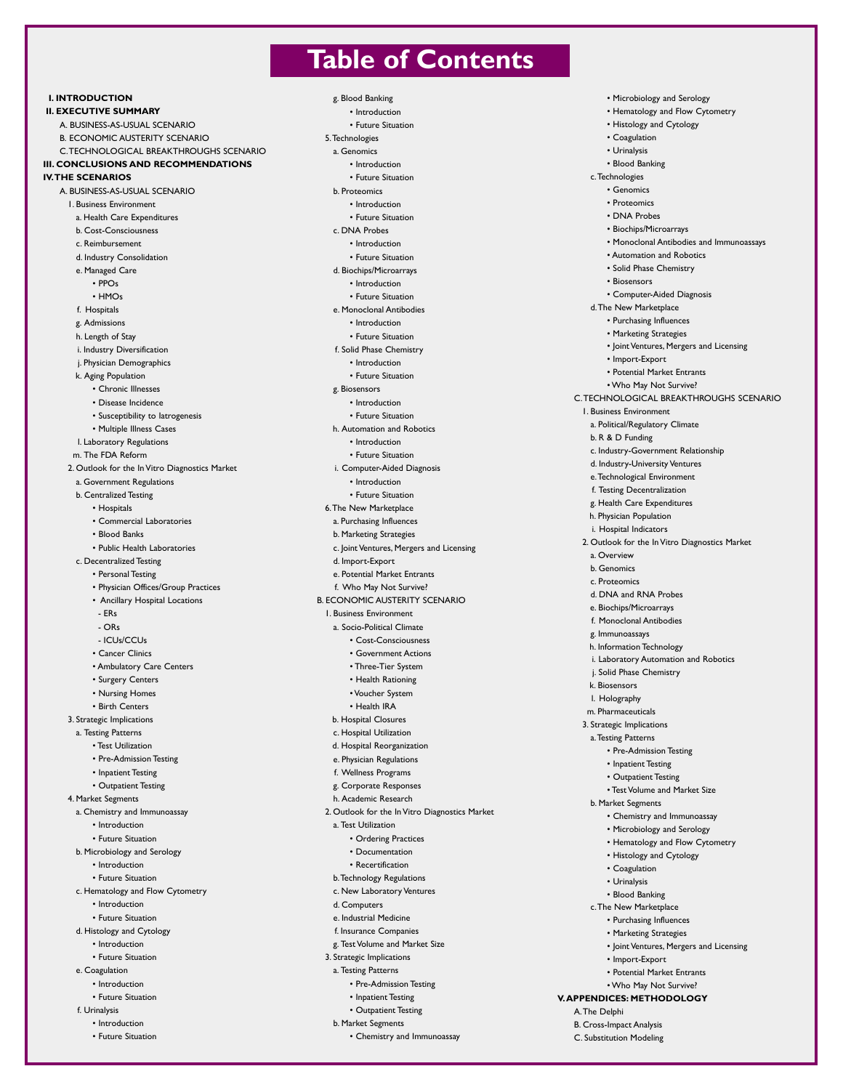## **Table of Contents**

g. Blood Banking • Introduction • Future Situation 5.Technologies a. Genomics • Introduction • Future Situation b. Proteomics • Introduction • Future Situation c. DNA Probes • Introduction • Future Situation d. Biochips/Microarrays • Introduction • Future Situation e. Monoclonal Antibodies • Introduction • Future Situation f. Solid Phase Chemistry • Introduction • Future Situation g. Biosensors • Introduction • Future Situation h. Automation and Robotics • Introduction • Future Situation i. Computer-Aided Diagnosis • Introduction • Future Situation 6.The New Marketplace a. Purchasing Influences b. Marketing Strategies c. Joint Ventures, Mergers and Licensing d. Import-Export e. Potential Market Entrants f. Who May Not Survive? B. ECONOMIC AUSTERITY SCENARIO 1. Business Environment a. Socio-Political Climate • Cost-Consciousness • Government Actions • Three-Tier System • Health Rationing • Voucher System • Health IRA b. Hospital Closures c. Hospital Utilization d. Hospital Reorganization e. Physician Regulations f. Wellness Programs g. Corporate Responses h. Academic Research 2. Outlook for the In Vitro Diagnostics Market a. Test Utilization • Ordering Practices • Documentation • Recertification b.Technology Regulations c. New Laboratory Ventures d. Computers e. Industrial Medicine f. Insurance Companies g. Test Volume and Market Size 3. Strategic Implications a. Testing Patterns • Pre-Admission Testing • Inpatient Testing • Outpatient Testing b. Market Segments • Chemistry and Immunoassay • Microbiology and Serology • Hematology and Flow Cytometry • Histology and Cytology • Coagulation • Urinalysis • Blood Banking c.Technologies • Genomics • Proteomics • DNA Probes • Biochips/Microarrays • Monoclonal Antibodies and Immunoassays • Automation and Robotics • Solid Phase Chemistry • Biosensors • Computer-Aided Diagnosis d.The New Marketplace • Purchasing Influences • Marketing Strategies • Joint Ventures, Mergers and Licensing • Import-Export • Potential Market Entrants • Who May Not Survive? 1. Business Environment a. Political/Regulatory Climate b. R & D Funding e.Technological Environment f. Testing Decentralization g. Health Care Expenditures h. Physician Population i. Hospital Indicators a. Overview b. Genomics c. Proteomics d. DNA and RNA Probes e. Biochips/Microarrays f. Monoclonal Antibodies g. Immunoassays h. Information Technology j. Solid Phase Chemistry k. Biosensors l. Holography m. Pharmaceuticals 3. Strategic Implications a.Testing Patterns • Pre-Admission Testing • Inpatient Testing • Outpatient Testing b. Market Segments • Chemistry and Immunoassay • Microbiology and Serology • Hematology and Flow Cytometry • Histology and Cytology • Coagulation • Urinalysis • Blood Banking c.The New Marketplace • Purchasing Influences • Marketing Strategies • Joint Ventures, Mergers and Licensing • Import-Export • Potential Market Entrants • Who May Not Survive? **V.APPENDICES: METHODOLOGY** A.The Delphi B. Cross-Impact Analysis C. Substitution Modeling

## **II. EXECUTIVE SUMMARY** A. BUSINESS-AS-USUAL SCENARIO B. ECONOMIC AUSTERITY SCENARIO C.TECHNOLOGICAL BREAKTHROUGHS SCENARIO **III. CONCLUSIONS AND RECOMMENDATIONS** A. BUSINESS-AS-USUAL SCENARIO a. Health Care Expenditures b. Cost-Consciousness

c. Reimbursement d. Industry Consolidation

1. Business Environment

- e. Managed Care
	- PPOs
- HMOs f. Hospitals

**I. INTRODUCTION**

**IV.THE SCENARIOS**

- g. Admissions
- h. Length of Stay
- i. Industry Diversification
- j. Physician Demographics
- k. Aging Population
- Chronic Illnesses
- Disease Incidence
	- Susceptibility to Iatrogenesis
- Multiple Illness Cases
- l. Laboratory Regulations
- m. The FDA Reform
- 2. Outlook for the In Vitro Diagnostics Market
- a. Government Regulations
- b. Centralized Testing
	- Hospitals
	- Commercial Laboratories
	- Blood Banks
	- Public Health Laboratories
- c. Decentralized Testing
	- Personal Testing
	- Physician Offices/Group Practices
	- Ancillary Hospital Locations
	- ERs - ORs
	-
	- ICUs/CCUs
	- Cancer Clinics
	- Ambulatory Care Centers
	- Surgery Centers
	- Nursing Homes • Birth Centers
- 3. Strategic Implications
- a. Testing Patterns
- Test Utilization
	- Pre-Admission Testing
	- Inpatient Testing
	- Outpatient Testing
- 4. Market Segments
- a. Chemistry and Immunoassay
	- Introduction
	- Future Situation
- b. Microbiology and Serology
	- Introduction
	- Future Situation
- c. Hematology and Flow Cytometry
	- Introduction
	- Future Situation
- d. Histology and Cytology • Introduction
- Future Situation
- e. Coagulation
	- Introduction
	- Future Situation
- f. Urinalysis
- Introduction
- Future Situation
- 
- 
- 
- 
- 

C.TECHNOLOGICAL BREAKTHROUGHS SCENARIO

- c. Industry-Government Relationship
- d. Industry-University Ventures
- 
- 
- 
- 2. Outlook for the In Vitro Diagnostics Market
	-
- i. Laboratory Automation and Robotics
	-
	-
	- Test Volume and Market Size
	-
	-